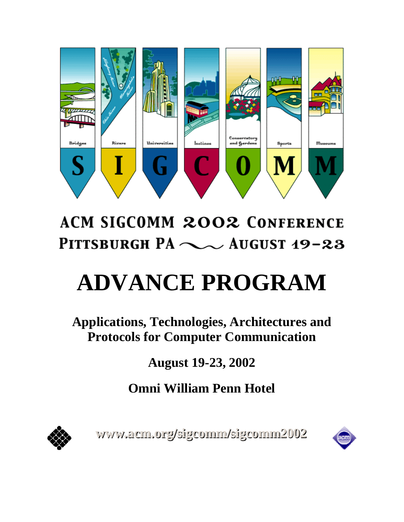

# **ACM SIGCOMM 2002 CONFERENCE** PITTSBURGH PA $\sim$  AUGUST 19-23

# **ADVANCE PROGRAM**

**Applications, Technologies, Architectures and Protocols for Computer Communication** 

**August 19-23, 2002** 

**Omni William Penn Hotel**



www.acm.org/sigcomm/sigcomm2002

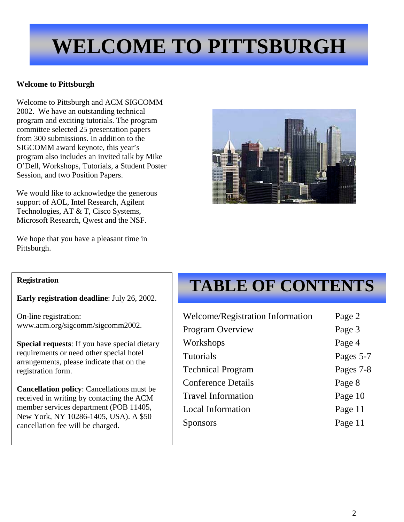# **WELCOME TO PITTSBURGH**

# **Welcome to Pittsburgh**

Welcome to Pittsburgh and ACM SIGCOMM 2002. We have an outstanding technical program and exciting tutorials. The program committee selected 25 presentation papers from 300 submissions. In addition to the SIGCOMM award keynote, this year's program also includes an invited talk by Mike O'Dell, Workshops, Tutorials, a Student Poster Session, and two Position Papers.

We would like to acknowledge the generous support of AOL, Intel Research, Agilent Technologies, AT & T, Cisco Systems, Microsoft Research, Qwest and the NSF.

We hope that you have a pleasant time in Pittsburgh.



**Early registration deadline**: July 26, 2002.

On-line registration: www.acm.org/sigcomm/sigcomm2002.

**Special requests**: If you have special dietary requirements or need other special hotel arrangements, please indicate that on the registration form.

**Cancellation policy**: Cancellations must be received in writing by contacting the ACM member services department (POB 11405, New York, NY 10286-1405, USA). A \$50 cancellation fee will be charged.

# **TABLE OF CONTENTS**

| Welcome/Registration Information | Page 2    |
|----------------------------------|-----------|
| <b>Program Overview</b>          | Page 3    |
| Workshops                        | Page 4    |
| <b>Tutorials</b>                 | Pages 5-7 |
| <b>Technical Program</b>         | Pages 7-8 |
| <b>Conference Details</b>        | Page 8    |
| <b>Travel Information</b>        | Page 10   |
| Local Information                | Page 11   |
| nsors                            | Page 11   |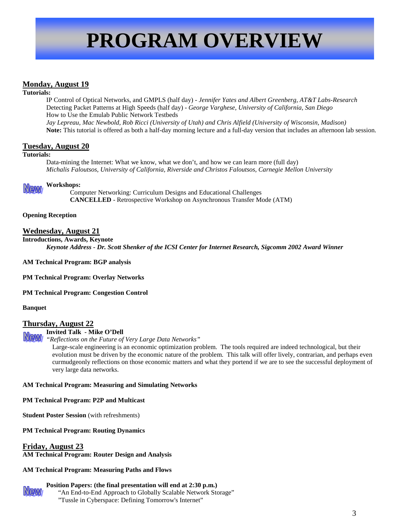# **PROGRAM OVERVIEW**

# **Monday, August 19**

#### **Tutorials:**

IP Control of Optical Networks, and GMPLS (half day) - *Jennifer Yates and Albert Greenberg, AT&T Labs-Research* Detecting Packet Patterns at High Speeds (half day) - *George Varghese, University of California, San Diego* How to Use the Emulab Public Network Testbeds *Jay Lepreau, Mac Newbold, Rob Ricci (University of Utah) and Chris Alfield (University of Wisconsin, Madison)* **Note:** This tutorial is offered as both a half-day morning lecture and a full-day version that includes an afternoon lab session.

# **Tuesday, August 20**

#### **Tutorials:**

Data-mining the Internet: What we know, what we don't, and how we can learn more (full day) *Michalis Faloutsos, University of California, Riverside and Christos Faloutsos, Carnegie Mellon University* 

#### **Workshops:**

 Computer Networking: Curriculum Designs and Educational Challenges **CANCELLED** - Retrospective Workshop on Asynchronous Transfer Mode (ATM)

#### **Opening Reception**

### **Wednesday, August 21**

**Introductions, Awards, Keynote**  *Keynote Address - Dr. Scott Shenker of the ICSI Center for Internet Research, Sigcomm 2002 Award Winner*

**AM Technical Program: BGP analysis**

**PM Technical Program: Overlay Networks** 

**PM Technical Program: Congestion Control**

#### **Banquet**

### **Thursday, August 22**

### **Invited Talk - Mike O'Dell**

*"Reflections on the Future of Very Large Data Networks"*

Large-scale engineering is an economic optimization problem. The tools required are indeed technological, but their evolution must be driven by the economic nature of the problem. This talk will offer lively, contrarian, and perhaps even curmudgeonly reflections on those economic matters and what they portend if we are to see the successful deployment of very large data networks.

### **AM Technical Program: Measuring and Simulating Networks**

**PM Technical Program: P2P and Multicast**

**Student Poster Session** (with refreshments)

### **PM Technical Program: Routing Dynamics**

### **Friday, August 23**

**AM Technical Program: Router Design and Analysis**

### **AM Technical Program: Measuring Paths and Flows**

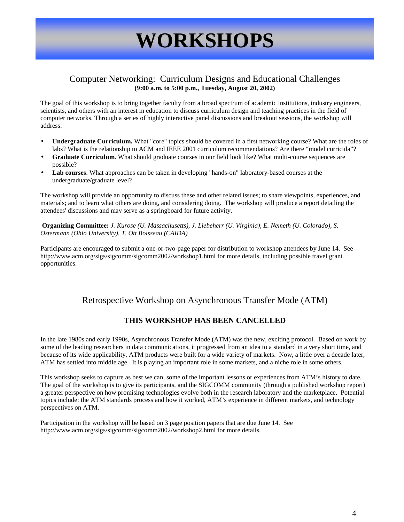# **WORKSHOPS**

# Computer Networking: Curriculum Designs and Educational Challenges **(9:00 a.m. to 5:00 p.m., Tuesday, August 20, 2002)**

The goal of this workshop is to bring together faculty from a broad spectrum of academic institutions, industry engineers, scientists, and others with an interest in education to discuss curriculum design and teaching practices in the field of computer networks. Through a series of highly interactive panel discussions and breakout sessions, the workshop will address:

- **Undergraduate Curriculum.** What "core" topics should be covered in a first networking course? What are the roles of labs? What is the relationship to ACM and IEEE 2001 curriculum recommendations? Are there "model curricula"?
- **Graduate Curriculum**. What should graduate courses in our field look like? What multi-course sequences are possible?
- **Lab courses**. What approaches can be taken in developing "hands-on" laboratory-based courses at the undergraduate/graduate level?

The workshop will provide an opportunity to discuss these and other related issues; to share viewpoints, experiences, and materials; and to learn what others are doing, and considering doing. The workshop will produce a report detailing the attendees' discussions and may serve as a springboard for future activity.

**Organizing Committee:** *J. Kurose (U. Massachusetts), J. Liebeherr (U. Virginia), E. Nemeth (U. Colorado), S. Ostermann (Ohio University). T. Ott Boisseau (CAIDA)*

Participants are encouraged to submit a one-or-two-page paper for distribution to workshop attendees by June 14. See http://www.acm.org/sigs/sigcomm/sigcomm2002/workshop1.html for more details, including possible travel grant opportunities.

# Retrospective Workshop on Asynchronous Transfer Mode (ATM)

# **THIS WORKSHOP HAS BEEN CANCELLED**

In the late 1980s and early 1990s, Asynchronous Transfer Mode (ATM) was the new, exciting protocol. Based on work by some of the leading researchers in data communications, it progressed from an idea to a standard in a very short time, and because of its wide applicability, ATM products were built for a wide variety of markets. Now, a little over a decade later, ATM has settled into middle age. It is playing an important role in some markets, and a niche role in some others.

This workshop seeks to capture as best we can, some of the important lessons or experiences from ATM's history to date. The goal of the workshop is to give its participants, and the SIGCOMM community (through a published workshop report) a greater perspective on how promising technologies evolve both in the research laboratory and the marketplace. Potential topics include: the ATM standards process and how it worked, ATM's experience in different markets, and technology perspectives on ATM.

Participation in the workshop will be based on 3 page position papers that are due June 14. See http://www.acm.org/sigs/sigcomm/sigcomm2002/workshop2.html for more details.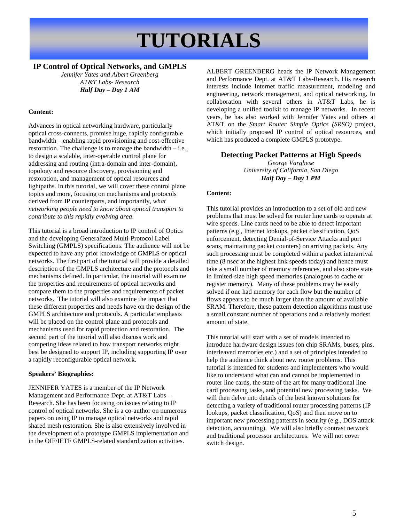# **TUTORIALS**

# **IP Control of Optical Networks, and GMPLS**

*Jennifer Yates and Albert Greenberg AT&T Labs- Research Half Day – Day 1 AM* 

# **Content:**

Advances in optical networking hardware, particularly optical cross-connects, promise huge, rapidly configurable bandwidth – enabling rapid provisioning and cost-effective restoration. The challenge is to manage the bandwidth – i.e., to design a scalable, inter-operable control plane for addressing and routing (intra-domain and inter-domain), topology and resource discovery, provisioning and restoration, and management of optical resources and lightpaths. In this tutorial, we will cover these control plane topics and more, focusing on mechanisms and protocols derived from IP counterparts, and importantly, *what networking people need to know about optical transport to contribute to this rapidly evolving area*.

This tutorial is a broad introduction to IP control of Optics and the developing Generalized Multi-Protocol Label Switching (GMPLS) specifications. The audience will not be expected to have any prior knowledge of GMPLS or optical networks. The first part of the tutorial will provide a detailed description of the GMPLS architecture and the protocols and mechanisms defined. In particular, the tutorial will examine the properties and requirements of optical networks and compare them to the properties and requirements of packet networks. The tutorial will also examine the impact that these different properties and needs have on the design of the GMPLS architecture and protocols. A particular emphasis will be placed on the control plane and protocols and mechanisms used for rapid protection and restoration. The second part of the tutorial will also discuss work and competing ideas related to how transport networks might best be designed to support IP, including supporting IP over a rapidly reconfigurable optical network.

# **Speakers' Biographies:**

JENNIFER YATES is a member of the IP Network Management and Performance Dept. at AT&T Labs – Research. She has been focusing on issues relating to IP control of optical networks. She is a co-author on numerous papers on using IP to manage optical networks and rapid shared mesh restoration. She is also extensively involved in the development of a prototype GMPLS implementation and in the OIF/IETF GMPLS-related standardization activities.

ALBERT GREENBERG heads the IP Network Management and Performance Dept. at AT&T Labs-Research. His research interests include Internet traffic measurement, modeling and engineering, network management, and optical networking. In collaboration with several others in AT&T Labs, he is developing a unified toolkit to manage IP networks. In recent years, he has also worked with Jennifer Yates and others at AT&T on the *Smart Router Simple Optics (SRSO)* project, which initially proposed IP control of optical resources, and which has produced a complete GMPLS prototype.

# **Detecting Packet Patterns at High Speeds**

*George Varghese University of California, San Diego Half Day – Day 1 PM* 

# **Content:**

This tutorial provides an introduction to a set of old and new problems that must be solved for router line cards to operate at wire speeds. Line cards need to be able to detect important patterns (e.g., Internet lookups, packet classification, QoS enforcement, detecting Denial-of-Service Attacks and port scans, maintaining packet counters) on arriving packets. Any such processing must be completed within a packet interarrival time (8 nsec at the highest link speeds today) and hence must take a small number of memory references, and also store state in limited-size high speed memories (analogous to cache or register memory). Many of these problems may be easily solved if one had memory for each flow but the number of flows appears to be much larger than the amount of available SRAM. Therefore, these pattern detection algorithms must use a small constant number of operations and a relatively modest amount of state.

This tutorial will start with a set of models intended to introduce hardware design issues (on chip SRAMs, buses, pins, interleaved memories etc.) and a set of principles intended to help the audience think about new router problems. This tutorial is intended for students and implementers who would like to understand what can and cannot be implemented in router line cards, the state of the art for many traditional line card processing tasks, and potential new processing tasks. We will then delve into details of the best known solutions for detecting a variety of traditional router processing patterns (IP lookups, packet classification, QoS) and then move on to important new processing patterns in security (e.g., DOS attack detection, accounting). We will also briefly contrast network and traditional processor architectures. We will not cover switch design.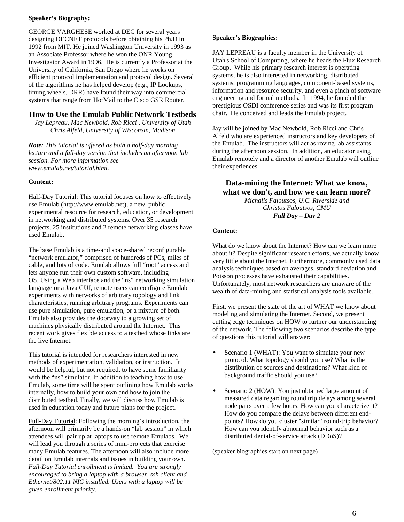### **Speaker's Biography:**

GEORGE VARGHESE worked at DEC for several years designing DECNET protocols before obtaining his Ph.D in 1992 from MIT. He joined Washington University in 1993 as an Associate Professor where he won the ONR Young Investigator Award in 1996. He is currently a Professor at the University of California, San Diego where he works on efficient protocol implementation and protocol design. Several of the algorithms he has helped develop (e.g., IP Lookups, timing wheels, DRR) have found their way into commercial systems that range from HotMail to the Cisco GSR Router.

# **How to Use the Emulab Public Network Testbeds**

*Jay Lepreau, Mac Newbold, Rob Ricci , University of Utah Chris Alfeld, University of Wisconsin, Madison*

*Note: This tutorial is offered as both a half-day morning lecture and a full-day version that includes an afternoon lab session. For more information see www.emulab.net/tutorial.html.*

### **Content:**

Half-Day Tutorial: This tutorial focuses on how to effectively use Emulab (http://www.emulab.net), a new, public experimental resource for research, education, or development in networking and distributed systems. Over 35 research projects, 25 institutions and 2 remote networking classes have used Emulab.

The base Emulab is a time-and space-shared reconfigurable "network emulator," comprised of hundreds of PCs, miles of cable, and lots of code. Emulab allows full "root" access and lets anyone run their own custom software, including OS. Using a Web interface and the "ns" networking simulation language or a Java GUI, remote users can configure Emulab experiments with networks of arbitrary topology and link characteristics, running arbitrary programs. Experiments can use pure simulation, pure emulation, or a mixture of both. Emulab also provides the doorway to a growing set of machines physically distributed around the Internet. This recent work gives flexible access to a testbed whose links are the live Internet.

This tutorial is intended for researchers interested in new methods of experimentation, validation, or instruction. It would be helpful, but not required, to have some familiarity with the "ns" simulator. In addition to teaching how to use Emulab, some time will be spent outlining how Emulab works internally, how to build your own and how to join the distributed testbed. Finally, we will discuss how Emulab is used in education today and future plans for the project.

Full-Day Tutorial: Following the morning's introduction, the afternoon will primarily be a hands-on "lab session" in which attendees will pair up at laptops to use remote Emulabs. We will lead you through a series of mini-projects that exercise many Emulab features. The afternoon will also include more detail on Emulab internals and issues in building your own. *Full-Day Tutorial enrollment is limited. You are strongly encouraged to bring a laptop with a browser, ssh client and Ethernet/802.11 NIC installed. Users with a laptop will be given enrollment priority.*

### **Speaker's Biographies:**

JAY LEPREAU is a faculty member in the University of Utah's School of Computing, where he heads the Flux Research Group. While his primary research interest is operating systems, he is also interested in networking, distributed systems, programming languages, component-based systems, information and resource security, and even a pinch of software engineering and formal methods. In 1994, he founded the prestigious OSDI conference series and was its first program chair. He conceived and leads the Emulab project.

Jay will be joined by Mac Newbold, Rob Ricci and Chris Alfeld who are experienced instructors and key developers of the Emulab. The instructors will act as roving lab assistants during the afternoon session. In addition, an educator using Emulab remotely and a director of another Emulab will outline their experiences.

# **Data-mining the Internet: What we know, what we don't, and how we can learn more?**

*Michalis Faloutsos, U.C. Riverside and Christos Faloutsos, CMU Full Day – Day 2*

### **Content:**

What do we know about the Internet? How can we learn more about it? Despite significant research efforts, we actually know very little about the Internet. Furthermore, commonly used data analysis techniques based on averages, standard deviation and Poisson processes have exhausted their capabilities. Unfortunately, most network researchers are unaware of the wealth of data-mining and statistical analysis tools available.

First, we present the state of the art of WHAT we know about modeling and simulating the Internet. Second, we present cutting edge techniques on HOW to further our understanding of the network. The following two scenarios describe the type of questions this tutorial will answer:

- Scenario 1 (WHAT): You want to simulate your new protocol. What topology should you use? What is the distribution of sources and destinations? What kind of background traffic should you use?
- Scenario 2 (HOW): You just obtained large amount of measured data regarding round trip delays among several node pairs over a few hours. How can you characterize it? How do you compare the delays between different endpoints? How do you cluster "similar" round-trip behavior? How can you identify abnormal behavior such as a distributed denial-of-service attack (DDoS)?

(speaker biographies start on next page)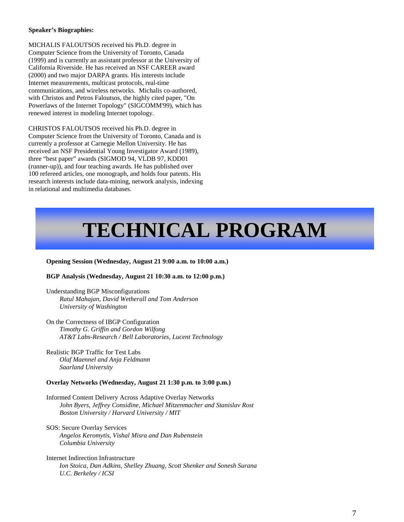#### **Speaker's Biographies:**

MICHALIS FALOUTSOS received his Ph.D. degree in Computer Science from the University of Toronto, Canada (1999) and is currently an assistant professor at the University of California Riverside. He has received an NSF CAREER award (2000) and two major DARPA grants. His interests include Internet measurements, multicast protocols, real-time communications, and wireless networks. Michalis co-authored, with Christos and Petros Faloutsos, the highly cited paper, "On Powerlaws of the Internet Topology" (SIGCOMM'99), which has renewed interest in modeling Internet topology.

CHRISTOS FALOUTSOS received his Ph.D. degree in Computer Science from the University of Toronto, Canada and is currently a professor at Carnegie Mellon University. He has received an NSF Presidential Young Investigator Award (1989), three "best paper" awards (SIGMOD 94, VLDB 97, KDD01 (runner-up)), and four teaching awards. He has published over 100 refereed articles, one monograph, and holds four patents. His research interests include data-mining, network analysis, indexing in relational and multimedia databases.

# **TECHNICAL PROGRAM**

#### **Opening Session (Wednesday, August 21 9:00 a.m. to 10:00 a.m.)**

#### **BGP Analysis (Wednesday, August 21 10:30 a.m. to 12:00 p.m.)**

Understanding BGP Misconfigurations  *Ratul Mahajan, David Wetherall and Tom Anderson University of Washington*

On the Correctness of IBGP Configuration *Timothy G. Griffin and Gordon Wilfong AT&T Labs-Research / Bell Laboratories, Lucent Technology*

Realistic BGP Traffic for Test Labs *Olaf Maennel and Anja Feldmann Saarland University*

#### **Overlay Networks (Wednesday, August 21 1:30 p.m. to 3:00 p.m.)**

Informed Content Delivery Across Adaptive Overlay Networks *John Byers, Jeffrey Considine, Michael Mitzenmacher and Stanislav Rost Boston University / Harvard University / MIT* 

SOS: Secure Overlay Services *Angelos Keromytis, Vishal Misra and Dan Rubenstein Columbia University* 

Internet Indirection Infrastructure *Ion Stoica, Dan Adkins, Shelley Zhuang, Scott Shenker and Sonesh Surana U.C. Berkeley / ICSI*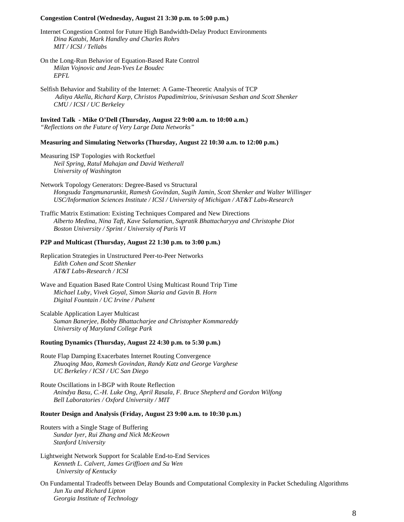#### **Congestion Control (Wednesday, August 21 3:30 p.m. to 5:00 p.m.)**

Internet Congestion Control for Future High Bandwidth-Delay Product Environments *Dina Katabi, Mark Handley and Charles Rohrs MIT / ICSI / Tellabs* 

- On the Long-Run Behavior of Equation-Based Rate Control *Milan Vojnovic and Jean-Yves Le Boudec EPFL*
- Selfish Behavior and Stability of the Internet: A Game-Theoretic Analysis of TCP  *Aditya Akella, Richard Karp, Christos Papadimitriou, Srinivasan Seshan and Scott Shenker CMU / ICSI / UC Berkeley*

**Invited Talk - Mike O'Dell (Thursday, August 22 9:00 a.m. to 10:00 a.m.)** *"Reflections on the Future of Very Large Data Networks"*

**Measuring and Simulating Networks (Thursday, August 22 10:30 a.m. to 12:00 p.m.)** 

Measuring ISP Topologies with Rocketfuel  *Neil Spring, Ratul Mahajan and David Wetherall University of Washington* 

Network Topology Generators: Degree-Based vs Structural  *Hongsuda Tangmunarunkit, Ramesh Govindan, Sugih Jamin, Scott Shenker and Walter Willinger USC/Information Sciences Institute / ICSI / University of Michigan / AT&T Labs-Research*

Traffic Matrix Estimation: Existing Techniques Compared and New Directions *Alberto Medina, Nina Taft, Kave Salamatian, Supratik Bhattacharyya and Christophe Diot Boston University / Sprint / University of Paris VI* 

### **P2P and Multicast (Thursday, August 22 1:30 p.m. to 3:00 p.m.)**

Replication Strategies in Unstructured Peer-to-Peer Networks *Edith Cohen and Scott Shenker AT&T Labs-Research / ICSI*

Wave and Equation Based Rate Control Using Multicast Round Trip Time *Michael Luby, Vivek Goyal, Simon Skaria and Gavin B. Horn Digital Fountain / UC Irvine / Pulsent*

Scalable Application Layer Multicast  *Suman Banerjee, Bobby Bhattacharjee and Christopher Kommareddy University of Maryland College Park* 

#### **Routing Dynamics (Thursday, August 22 4:30 p.m. to 5:30 p.m.)**

Route Flap Damping Exacerbates Internet Routing Convergence  *Zhuoqing Mao, Ramesh Govindan, Randy Katz and George Varghese UC Berkeley / ICSI / UC San Diego*

Route Oscillations in I-BGP with Route Reflection  *Anindya Basu, C.-H. Luke Ong, April Rasala, F. Bruce Shepherd and Gordon Wilfong Bell Laboratories / Oxford University / MIT*

#### **Router Design and Analysis (Friday, August 23 9:00 a.m. to 10:30 p.m.)**

- Routers with a Single Stage of Buffering *Sundar Iyer, Rui Zhang and Nick McKeown Stanford University*
- Lightweight Network Support for Scalable End-to-End Services *Kenneth L. Calvert, James Griffioen and Su Wen University of Kentucky*

On Fundamental Tradeoffs between Delay Bounds and Computational Complexity in Packet Scheduling Algorithms  *Jun Xu and Richard Lipton Georgia Institute of Technology*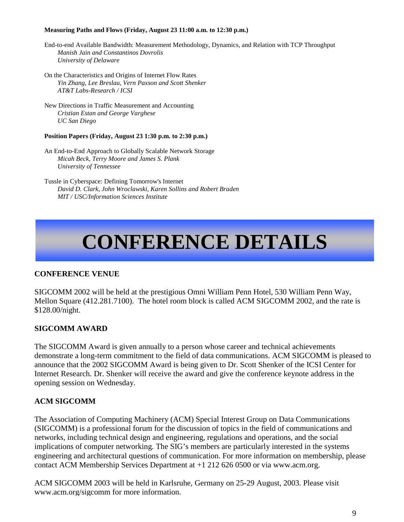### **Measuring Paths and Flows (Friday, August 23 11:00 a.m. to 12:30 p.m.)**

- End-to-end Available Bandwidth: Measurement Methodology, Dynamics, and Relation with TCP Throughput *Manish Jain and Constantinos Dovrolis University of Delaware*
- On the Characteristics and Origins of Internet Flow Rates  *Yin Zhang, Lee Breslau, Vern Paxson and Scott Shenker AT&T Labs-Research / ICSI*
- New Directions in Traffic Measurement and Accounting  *Cristian Estan and George Varghese UC San Diego*

# **Position Papers (Friday, August 23 1:30 p.m. to 2:30 p.m.)**

- An End-to-End Approach to Globally Scalable Network Storage  *Micah Beck, Terry Moore and James S. Plank University of Tennessee*
- Tussle in Cyberspace: Defining Tomorrow's Internet  *David D. Clark, John Wroclawski, Karen Sollins and Robert Braden MIT / USC/Information Sciences Institute*

# **CONFERENCE DETAILS**

# **CONFERENCE VENUE**

SIGCOMM 2002 will be held at the prestigious Omni William Penn Hotel, 530 William Penn Way, Mellon Square (412.281.7100). The hotel room block is called ACM SIGCOMM 2002, and the rate is \$128.00/night.

# **SIGCOMM AWARD**

The SIGCOMM Award is given annually to a person whose career and technical achievements demonstrate a long-term commitment to the field of data communications. ACM SIGCOMM is pleased to announce that the 2002 SIGCOMM Award is being given to Dr. Scott Shenker of the ICSI Center for Internet Research. Dr. Shenker will receive the award and give the conference keynote address in the opening session on Wednesday.

# **ACM SIGCOMM**

The Association of Computing Machinery (ACM) Special Interest Group on Data Communications (SIGCOMM) is a professional forum for the discussion of topics in the field of communications and networks, including technical design and engineering, regulations and operations, and the social implications of computer networking. The SIG's members are particularly interested in the systems engineering and architectural questions of communication. For more information on membership, please contact ACM Membership Services Department at +1 212 626 0500 or via www.acm.org.

ACM SIGCOMM 2003 will be held in Karlsruhe, Germany on 25-29 August, 2003. Please visit www.acm.org/sigcomm for more information.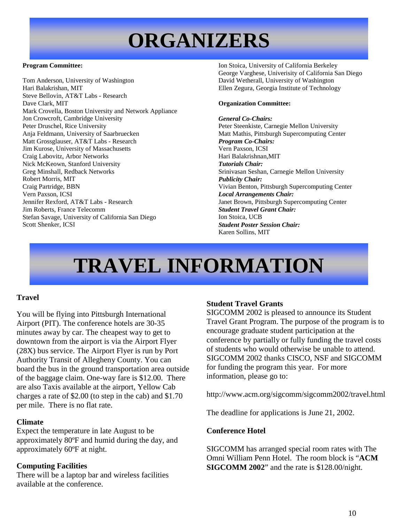# **ORGANIZERS**

### **Program Committee:**

Tom Anderson, University of Washington Hari Balakrishan, MIT Steve Bellovin, AT&T Labs - Research Dave Clark, MIT Mark Crovella, Boston University and Network Appliance Jon Crowcroft, Cambridge University Peter Druschel, Rice University Anja Feldmann, University of Saarbruecken Matt Grossglauser, AT&T Labs - Research Jim Kurose, University of Massachusetts Craig Labovitz, Arbor Networks Nick McKeown, Stanford University Greg Minshall, Redback Networks Robert Morris, MIT Craig Partridge, BBN Vern Paxson, ICSI Jennifer Rexford, AT&T Labs - Research Jim Roberts, France Telecomm Stefan Savage, University of California San Diego Scott Shenker, ICSI

Ion Stoica, University of California Berkeley George Varghese, Univerisity of California San Diego David Wetherall, University of Washington Ellen Zegura, Georgia Institute of Technology

### **Organization Committee:**

#### *General Co-Chairs:*

Peter Steenkiste, Carnegie Mellon University Matt Mathis, Pittsburgh Supercomputing Center *Program Co-Chairs:* Vern Paxson, ICSI Hari Balakrishnan,MIT *Tutorials Chair:* Srinivasan Seshan, Carnegie Mellon University *Publicity Chair:* Vivian Benton, Pittsburgh Supercomputing Center *Local Arrangements Chair:* Janet Brown, Pittsburgh Supercomputing Center *Student Travel Grant Chair:* Ion Stoica, UCB *Student Poster Session Chair:* Karen Sollins, MIT

# **TRAVEL INFORMATION**

# **Travel**

You will be flying into Pittsburgh International Airport (PIT). The conference hotels are 30-35 minutes away by car. The cheapest way to get to downtown from the airport is via the Airport Flyer (28X) bus service. The Airport Flyer is run by Port Authority Transit of Allegheny County. You can board the bus in the ground transportation area outside of the baggage claim. One-way fare is \$12.00. There are also Taxis available at the airport, Yellow Cab charges a rate of \$2.00 (to step in the cab) and \$1.70 per mile. There is no flat rate.

# **Climate**

Expect the temperature in late August to be approximately 80ºF and humid during the day, and approximately 60ºF at night.

# **Computing Facilities**

There will be a laptop bar and wireless facilities available at the conference.

# **Student Travel Grants**

SIGCOMM 2002 is pleased to announce its Student Travel Grant Program. The purpose of the program is to encourage graduate student participation at the conference by partially or fully funding the travel costs of students who would otherwise be unable to attend. SIGCOMM 2002 thanks CISCO, NSF and SIGCOMM for funding the program this year. For more information, please go to:

http://www.acm.org/sigcomm/sigcomm2002/travel.html

The deadline for applications is June 21, 2002.

# **Conference Hotel**

SIGCOMM has arranged special room rates with The Omni William Penn Hotel. The room block is "**ACM SIGCOMM 2002**" and the rate is \$128.00/night.